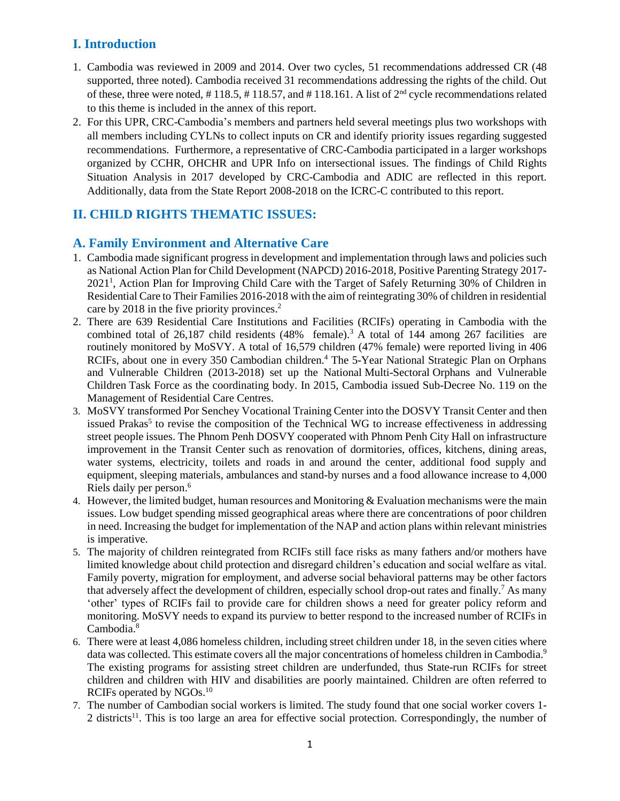# **I. Introduction**

- 1. Cambodia was reviewed in 2009 and 2014. Over two cycles, 51 recommendations addressed CR (48 supported, three noted). Cambodia received 31 recommendations addressing the rights of the child. Out of these, three were noted, #118.5, #118.57, and #118.161. A list of  $2<sup>nd</sup>$  cycle recommendations related to this theme is included in the annex of this report.
- 2. For this UPR, CRC-Cambodia's members and partners held several meetings plus two workshops with all members including CYLNs to collect inputs on CR and identify priority issues regarding suggested recommendations. Furthermore, a representative of CRC-Cambodia participated in a larger workshops organized by CCHR, OHCHR and UPR Info on intersectional issues. The findings of Child Rights Situation Analysis in 2017 developed by CRC-Cambodia and ADIC are reflected in this report. Additionally, data from the State Report 2008-2018 on the ICRC-C contributed to this report.

# **II. CHILD RIGHTS THEMATIC ISSUES:**

## **A. Family Environment and Alternative Care**

- 1. Cambodia made significant progress in development and implementation through laws and policies such as National Action Plan for Child Development (NAPCD) 2016-2018, Positive Parenting Strategy 2017- 2021<sup>1</sup>, Action Plan for Improving Child Care with the Target of Safely Returning 30% of Children in Residential Care to Their Families 2016-2018 with the aim of reintegrating 30% of children in residential care by 2018 in the five priority provinces. 2
- 2. There are 639 Residential Care Institutions and Facilities (RCIFs) operating in Cambodia with the combined total of 26,187 child residents  $(48\%$  female).<sup>3</sup> A total of 144 among 267 facilities are routinely monitored by MoSVY. A total of 16,579 children (47% female) were reported living in 406 RCIFs, about one in every 350 Cambodian children.<sup>4</sup> The 5-Year National Strategic Plan on Orphans and Vulnerable Children (2013-2018) set up the National Multi-Sectoral Orphans and Vulnerable Children Task Force as the coordinating body. In 2015, Cambodia issued Sub-Decree No. 119 on the Management of Residential Care Centres.
- 3. MoSVY transformed Por Senchey Vocational Training Center into the DOSVY Transit Center and then issued Prakas<sup>5</sup> to revise the composition of the Technical WG to increase effectiveness in addressing street people issues. The Phnom Penh DOSVY cooperated with Phnom Penh City Hall on infrastructure improvement in the Transit Center such as renovation of dormitories, offices, kitchens, dining areas, water systems, electricity, toilets and roads in and around the center, additional food supply and equipment, sleeping materials, ambulances and stand-by nurses and a food allowance increase to 4,000 Riels daily per person. 6
- 4. However, the limited budget, human resources and Monitoring & Evaluation mechanisms were the main issues. Low budget spending missed geographical areas where there are concentrations of poor children in need. Increasing the budget for implementation of the NAP and action plans within relevant ministries is imperative.
- 5. The majority of children reintegrated from RCIFs still face risks as many fathers and/or mothers have limited knowledge about child protection and disregard children's education and social welfare as vital. Family poverty, migration for employment, and adverse social behavioral patterns may be other factors that adversely affect the development of children, especially school drop-out rates and finally.<sup>7</sup> As many 'other' types of RCIFs fail to provide care for children shows a need for greater policy reform and monitoring. MoSVY needs to expand its purview to better respond to the increased number of RCIFs in Cambodia. 8
- 6. There were at least 4,086 homeless children, including street children under 18, in the seven cities where data was collected. This estimate covers all the major concentrations of homeless children in Cambodia.<sup>9</sup> The existing programs for assisting street children are underfunded, thus State-run RCIFs for street children and children with HIV and disabilities are poorly maintained. Children are often referred to RCIFs operated by NGOs.<sup>10</sup>
- 7. The number of Cambodian social workers is limited. The study found that one social worker covers 1- 2 districts<sup>11</sup>. This is too large an area for effective social protection. Correspondingly, the number of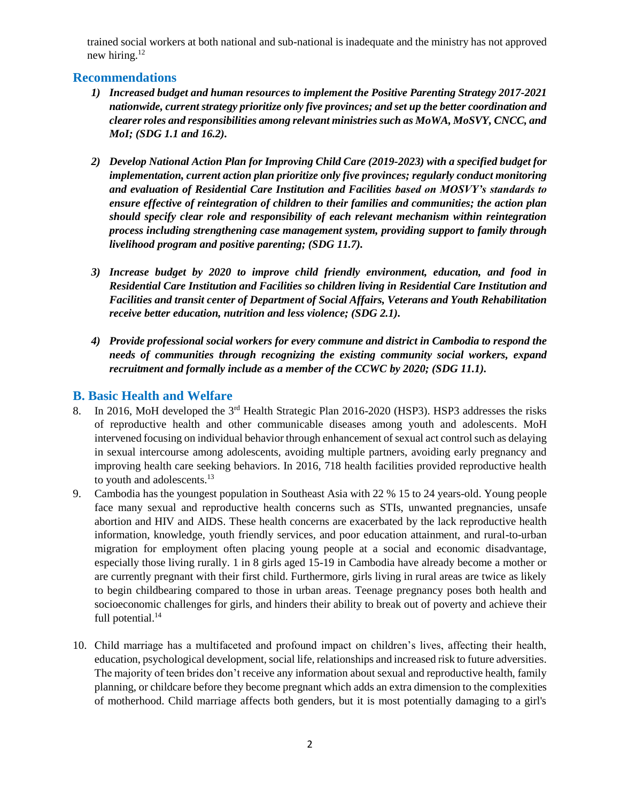trained social workers at both national and sub-national is inadequate and the ministry has not approved new hiring.<sup>12</sup>

## **Recommendations**

- *1) Increased budget and human resources to implement the Positive Parenting Strategy 2017-2021 nationwide, current strategy prioritize only five provinces; and set up the better coordination and clearer roles and responsibilities among relevant ministries such as MoWA, MoSVY, CNCC, and MoI; (SDG 1.1 and 16.2).*
- *2) Develop National Action Plan for Improving Child Care (2019-2023) with a specified budget for implementation, current action plan prioritize only five provinces; regularly conduct monitoring and evaluation of Residential Care Institution and Facilities based on MOSVY's standards to ensure effective of reintegration of children to their families and communities; the action plan should specify clear role and responsibility of each relevant mechanism within reintegration process including strengthening case management system, providing support to family through livelihood program and positive parenting; (SDG 11.7).*
- *3) Increase budget by 2020 to improve child friendly environment, education, and food in Residential Care Institution and Facilities so children living in Residential Care Institution and Facilities and transit center of Department of Social Affairs, Veterans and Youth Rehabilitation receive better education, nutrition and less violence; (SDG 2.1).*
- *4) Provide professional social workers for every commune and district in Cambodia to respond the needs of communities through recognizing the existing community social workers, expand recruitment and formally include as a member of the CCWC by 2020; (SDG 11.1).*

## **B. Basic Health and Welfare**

- 8. In 2016, MoH developed the 3<sup>rd</sup> Health Strategic Plan 2016-2020 (HSP3). HSP3 addresses the risks of reproductive health and other communicable diseases among youth and adolescents. MoH intervened focusing on individual behavior through enhancement of sexual act control such as delaying in sexual intercourse among adolescents, avoiding multiple partners, avoiding early pregnancy and improving health care seeking behaviors. In 2016, 718 health facilities provided reproductive health to youth and adolescents.<sup>13</sup>
- 9. Cambodia has the youngest population in Southeast Asia with 22 % 15 to 24 years-old. Young people face many sexual and reproductive health concerns such as STIs, unwanted pregnancies, unsafe abortion and HIV and AIDS. These health concerns are exacerbated by the lack reproductive health information, knowledge, youth friendly services, and poor education attainment, and rural-to-urban migration for employment often placing young people at a social and economic disadvantage, especially those living rurally. 1 in 8 girls aged 15-19 in Cambodia have already become a mother or are currently pregnant with their first child. Furthermore, girls living in rural areas are twice as likely to begin childbearing compared to those in urban areas. Teenage pregnancy poses both health and socioeconomic challenges for girls, and hinders their ability to break out of poverty and achieve their full potential.<sup>14</sup>
- 10. Child marriage has a multifaceted and profound impact on children's lives, affecting their health, education, psychological development, social life, relationships and increased risk to future adversities. The majority of teen brides don't receive any information about sexual and reproductive health, family planning, or childcare before they become pregnant which adds an extra dimension to the complexities of motherhood. Child marriage affects both genders, but it is most potentially damaging to a girl's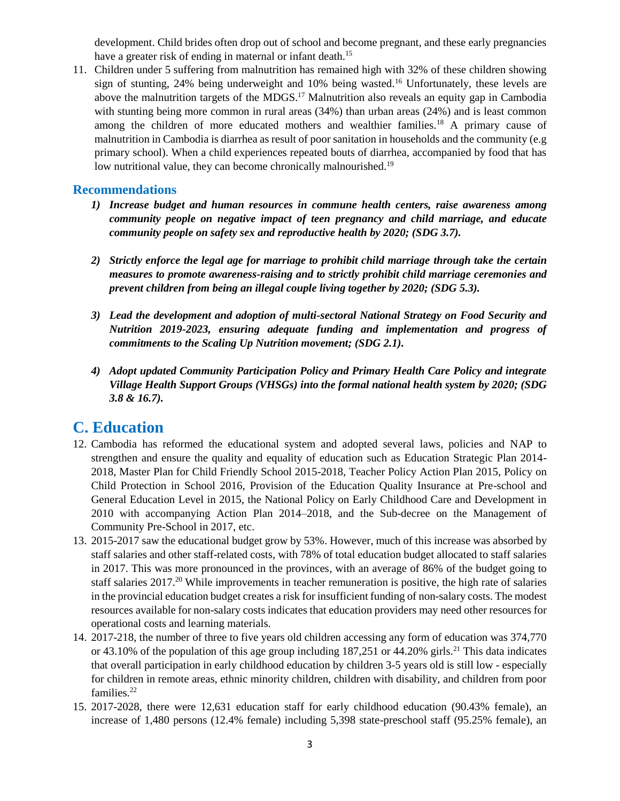development. Child brides often drop out of school and become pregnant, and these early pregnancies have a greater risk of ending in maternal or infant death.<sup>15</sup>

11. Children under 5 suffering from malnutrition has remained high with 32% of these children showing sign of stunting, 24% being underweight and 10% being wasted.<sup>16</sup> Unfortunately, these levels are above the malnutrition targets of the MDGS.<sup>17</sup> Malnutrition also reveals an equity gap in Cambodia with stunting being more common in rural areas (34%) than urban areas (24%) and is least common among the children of more educated mothers and wealthier families.<sup>18</sup> A primary cause of malnutrition in Cambodia is diarrhea as result of poor sanitation in households and the community (e.g primary school). When a child experiences repeated bouts of diarrhea, accompanied by food that has low nutritional value, they can become chronically malnourished.<sup>19</sup>

#### **Recommendations**

- *1) Increase budget and human resources in commune health centers, raise awareness among community people on negative impact of teen pregnancy and child marriage, and educate community people on safety sex and reproductive health by 2020; (SDG 3.7).*
- *2) Strictly enforce the legal age for marriage to prohibit child marriage through take the certain measures to promote awareness-raising and to strictly prohibit child marriage ceremonies and prevent children from being an illegal couple living together by 2020; (SDG 5.3).*
- *3) Lead the development and adoption of multi-sectoral National Strategy on Food Security and Nutrition 2019-2023, ensuring adequate funding and implementation and progress of commitments to the Scaling Up Nutrition movement; (SDG 2.1).*
- *4) Adopt updated Community Participation Policy and Primary Health Care Policy and integrate Village Health Support Groups (VHSGs) into the formal national health system by 2020; (SDG 3.8 & 16.7).*

# **C. Education**

- 12. Cambodia has reformed the educational system and adopted several laws, policies and NAP to strengthen and ensure the quality and equality of education such as Education Strategic Plan 2014- 2018, Master Plan for Child Friendly School 2015-2018, Teacher Policy Action Plan 2015, Policy on Child Protection in School 2016, Provision of the Education Quality Insurance at Pre-school and General Education Level in 2015, the National Policy on Early Childhood Care and Development in 2010 with accompanying Action Plan 2014–2018, and the Sub-decree on the Management of Community Pre-School in 2017, etc.
- 13. 2015-2017 saw the educational budget grow by 53%. However, much of this increase was absorbed by staff salaries and other staff-related costs, with 78% of total education budget allocated to staff salaries in 2017. This was more pronounced in the provinces, with an average of 86% of the budget going to staff salaries  $2017<sup>20</sup>$  While improvements in teacher remuneration is positive, the high rate of salaries in the provincial education budget creates a risk for insufficient funding of non-salary costs. The modest resources available for non-salary costs indicates that education providers may need other resources for operational costs and learning materials.
- 14. 2017-218, the number of three to five years old children accessing any form of education was 374,770 or 43.10% of the population of this age group including  $187,251$  or 44.20% girls.<sup>21</sup> This data indicates that overall participation in early childhood education by children 3-5 years old is still low - especially for children in remote areas, ethnic minority children, children with disability, and children from poor families.<sup>22</sup>
- 15. 2017-2028, there were 12,631 education staff for early childhood education (90.43% female), an increase of 1,480 persons (12.4% female) including 5,398 state-preschool staff (95.25% female), an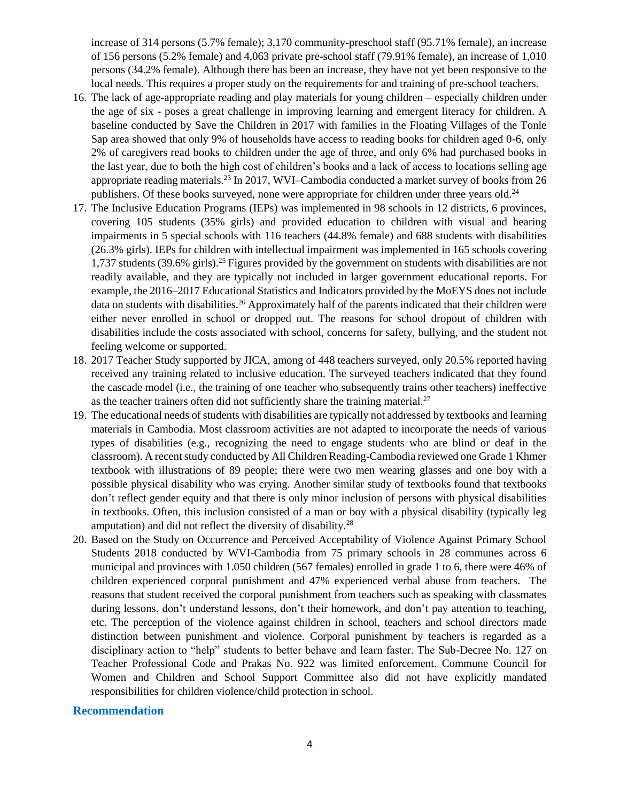increase of 314 persons (5.7% female); 3,170 community-preschool staff (95.71% female), an increase of 156 persons (5.2% female) and 4,063 private pre-school staff (79.91% female), an increase of 1,010 persons (34.2% female). Although there has been an increase, they have not yet been responsive to the local needs. This requires a proper study on the requirements for and training of pre-school teachers.

- 16. The lack of age-appropriate reading and play materials for young children especially children under the age of six - poses a great challenge in improving learning and emergent literacy for children. A baseline conducted by Save the Children in 2017 with families in the Floating Villages of the Tonle Sap area showed that only 9% of households have access to reading books for children aged 0-6, only 2% of caregivers read books to children under the age of three, and only 6% had purchased books in the last year, due to both the high cost of children's books and a lack of access to locations selling age appropriate reading materials.<sup>23</sup> In 2017, WVI–Cambodia conducted a market survey of books from 26 publishers. Of these books surveyed, none were appropriate for children under three years old.<sup>24</sup>
- 17. The Inclusive Education Programs (IEPs) was implemented in 98 schools in 12 districts, 6 provinces, covering 105 students (35% girls) and provided education to children with visual and hearing impairments in 5 special schools with 116 teachers (44.8% female) and 688 students with disabilities (26.3% girls). IEPs for children with intellectual impairment was implemented in 165 schools covering 1,737 students (39.6% girls).<sup>25</sup> Figures provided by the government on students with disabilities are not readily available, and they are typically not included in larger government educational reports. For example, the 2016–2017 Educational Statistics and Indicators provided by the MoEYS does not include data on students with disabilities.<sup>26</sup> Approximately half of the parents indicated that their children were either never enrolled in school or dropped out. The reasons for school dropout of children with disabilities include the costs associated with school, concerns for safety, bullying, and the student not feeling welcome or supported.
- 18. 2017 Teacher Study supported by JICA, among of 448 teachers surveyed, only 20.5% reported having received any training related to inclusive education. The surveyed teachers indicated that they found the cascade model (i.e., the training of one teacher who subsequently trains other teachers) ineffective as the teacher trainers often did not sufficiently share the training material.<sup>27</sup>
- 19. The educational needs of students with disabilities are typically not addressed by textbooks and learning materials in Cambodia. Most classroom activities are not adapted to incorporate the needs of various types of disabilities (e.g., recognizing the need to engage students who are blind or deaf in the classroom). A recent study conducted by All Children Reading-Cambodia reviewed one Grade 1 Khmer textbook with illustrations of 89 people; there were two men wearing glasses and one boy with a possible physical disability who was crying. Another similar study of textbooks found that textbooks don't reflect gender equity and that there is only minor inclusion of persons with physical disabilities in textbooks. Often, this inclusion consisted of a man or boy with a physical disability (typically leg amputation) and did not reflect the diversity of disability.<sup>28</sup>
- 20. Based on the Study on Occurrence and Perceived Acceptability of Violence Against Primary School Students 2018 conducted by WVI-Cambodia from 75 primary schools in 28 communes across 6 municipal and provinces with 1.050 children (567 females) enrolled in grade 1 to 6, there were 46% of children experienced corporal punishment and 47% experienced verbal abuse from teachers. The reasons that student received the corporal punishment from teachers such as speaking with classmates during lessons, don't understand lessons, don't their homework, and don't pay attention to teaching, etc. The perception of the violence against children in school, teachers and school directors made distinction between punishment and violence. Corporal punishment by teachers is regarded as a disciplinary action to "help" students to better behave and learn faster. The Sub-Decree No. 127 on Teacher Professional Code and Prakas No. 922 was limited enforcement. Commune Council for Women and Children and School Support Committee also did not have explicitly mandated responsibilities for children violence/child protection in school.

#### **Recommendation**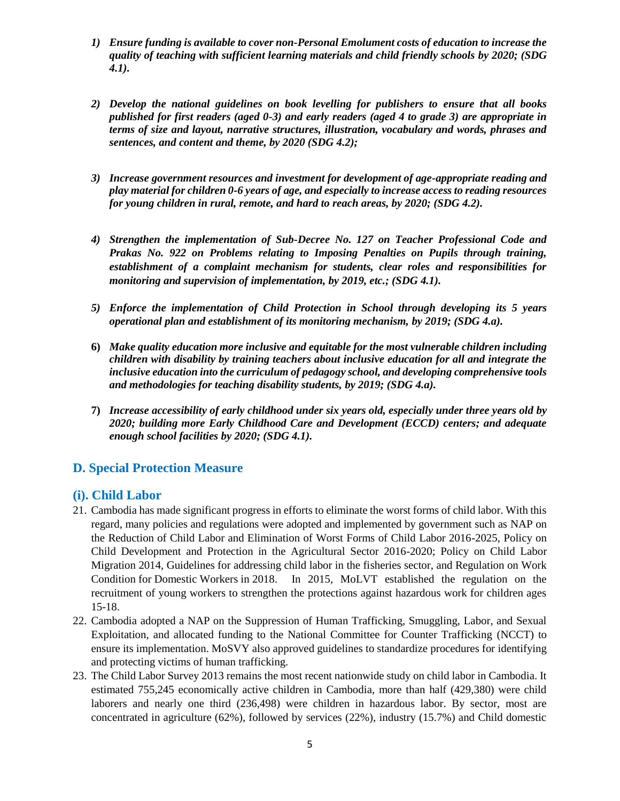- *1) Ensure funding is available to cover non-Personal Emolument costs of education to increase the quality of teaching with sufficient learning materials and child friendly schools by 2020; (SDG 4.1).*
- *2) Develop the national guidelines on book levelling for publishers to ensure that all books published for first readers (aged 0-3) and early readers (aged 4 to grade 3) are appropriate in terms of size and layout, narrative structures, illustration, vocabulary and words, phrases and sentences, and content and theme, by 2020 (SDG 4.2);*
- *3) Increase government resources and investment for development of age-appropriate reading and play material for children 0-6 years of age, and especially to increase access to reading resources for young children in rural, remote, and hard to reach areas, by 2020; (SDG 4.2).*
- *4) Strengthen the implementation of Sub-Decree No. 127 on Teacher Professional Code and Prakas No. 922 on Problems relating to Imposing Penalties on Pupils through training, establishment of a complaint mechanism for students, clear roles and responsibilities for monitoring and supervision of implementation, by 2019, etc.; (SDG 4.1).*
- *5) Enforce the implementation of Child Protection in School through developing its 5 years operational plan and establishment of its monitoring mechanism, by 2019; (SDG 4.a).*
- **6)** *Make quality education more inclusive and equitable for the most vulnerable children including children with disability by training teachers about inclusive education for all and integrate the inclusive education into the curriculum of pedagogy school, and developing comprehensive tools and methodologies for teaching disability students, by 2019; (SDG 4.a).*
- **7)** *Increase accessibility of early childhood under six years old, especially under three years old by 2020; building more Early Childhood Care and Development (ECCD) centers; and adequate enough school facilities by 2020; (SDG 4.1).*

## **D. Special Protection Measure**

## **(i). Child Labor**

- 21. Cambodia has made significant progress in efforts to eliminate the worst forms of child labor. With this regard, many policies and regulations were adopted and implemented by government such as NAP on the Reduction of Child Labor and Elimination of Worst Forms of Child Labor 2016-2025, Policy on Child Development and Protection in the Agricultural Sector 2016-2020; Policy on Child Labor Migration 2014, Guidelines for addressing child labor in the fisheries sector, and Regulation on Work Condition for Domestic Workers in 2018. In 2015, MoLVT established the regulation on the recruitment of young workers to strengthen the protections against hazardous work for children ages 15-18.
- 22. Cambodia adopted a NAP on the Suppression of Human Trafficking, Smuggling, Labor, and Sexual Exploitation, and allocated funding to the National Committee for Counter Trafficking (NCCT) to ensure its implementation. MoSVY also approved guidelines to standardize procedures for identifying and protecting victims of human trafficking.
- 23. The Child Labor Survey 2013 remains the most recent nationwide study on child labor in Cambodia. It estimated 755,245 economically active children in Cambodia, more than half (429,380) were child laborers and nearly one third (236,498) were children in hazardous labor. By sector, most are concentrated in agriculture (62%), followed by services (22%), industry (15.7%) and Child domestic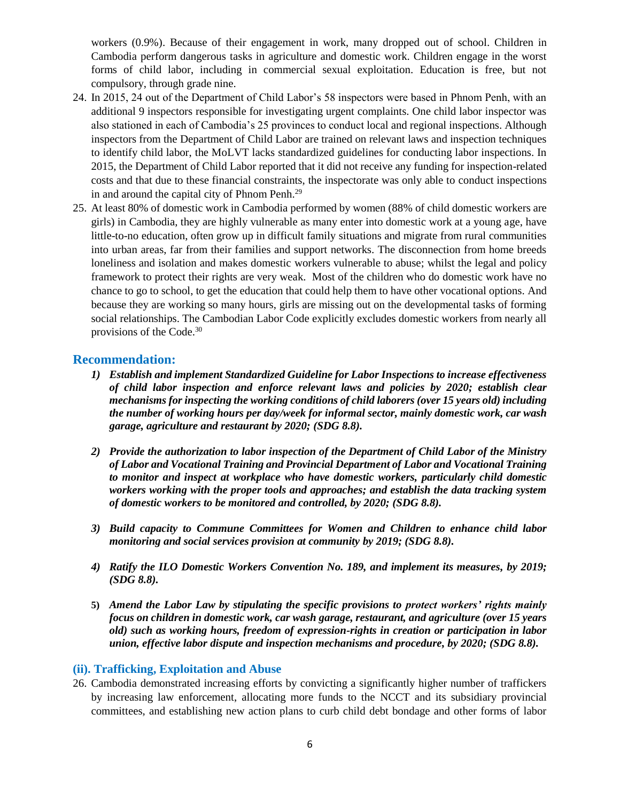workers (0.9%). Because of their engagement in work, many dropped out of school. Children in Cambodia perform dangerous tasks in agriculture and domestic work. Children engage in the worst forms of child labor, including in commercial sexual exploitation. Education is free, but not compulsory, through grade nine.

- 24. In 2015, 24 out of the Department of Child Labor's 58 inspectors were based in Phnom Penh, with an additional 9 inspectors responsible for investigating urgent complaints. One child labor inspector was also stationed in each of Cambodia's 25 provinces to conduct local and regional inspections. Although inspectors from the Department of Child Labor are trained on relevant laws and inspection techniques to identify child labor, the MoLVT lacks standardized guidelines for conducting labor inspections. In 2015, the Department of Child Labor reported that it did not receive any funding for inspection-related costs and that due to these financial constraints, the inspectorate was only able to conduct inspections in and around the capital city of Phnom Penh.<sup>29</sup>
- 25. At least 80% of domestic work in Cambodia performed by women (88% of child domestic workers are girls) in Cambodia, they are highly vulnerable as many enter into domestic work at a young age, have little-to-no education, often grow up in difficult family situations and migrate from rural communities into urban areas, far from their families and support networks. The disconnection from home breeds loneliness and isolation and makes domestic workers vulnerable to abuse; whilst the legal and policy framework to protect their rights are very weak. Most of the children who do domestic work have no chance to go to school, to get the education that could help them to have other vocational options. And because they are working so many hours, girls are missing out on the developmental tasks of forming social relationships. The Cambodian Labor Code explicitly excludes domestic workers from nearly all provisions of the Code.<sup>30</sup>

#### **Recommendation:**

- *1) Establish and implement Standardized Guideline for Labor Inspections to increase effectiveness of child labor inspection and enforce relevant laws and policies by 2020; establish clear mechanisms for inspecting the working conditions of child laborers (over 15 years old) including the number of working hours per day/week for informal sector, mainly domestic work, car wash garage, agriculture and restaurant by 2020; (SDG 8.8).*
- *2) Provide the authorization to labor inspection of the Department of Child Labor of the Ministry of Labor and Vocational Training and Provincial Department of Labor and Vocational Training to monitor and inspect at workplace who have domestic workers, particularly child domestic workers working with the proper tools and approaches; and establish the data tracking system of domestic workers to be monitored and controlled, by 2020; (SDG 8.8).*
- *3) Build capacity to Commune Committees for Women and Children to enhance child labor monitoring and social services provision at community by 2019; (SDG 8.8).*
- *4) Ratify the ILO Domestic Workers Convention No. 189, and implement its measures, by 2019; (SDG 8.8).*
- **5)** *Amend the Labor Law by stipulating the specific provisions to protect workers' rights mainly focus on children in domestic work, car wash garage, restaurant, and agriculture (over 15 years old) such as working hours, freedom of expression-rights in creation or participation in labor union, effective labor dispute and inspection mechanisms and procedure, by 2020; (SDG 8.8).*

#### **(ii). Trafficking, Exploitation and Abuse**

26. Cambodia demonstrated increasing efforts by convicting a significantly higher number of traffickers by increasing law enforcement, allocating more funds to the NCCT and its subsidiary provincial committees, and establishing new action plans to curb child debt bondage and other forms of labor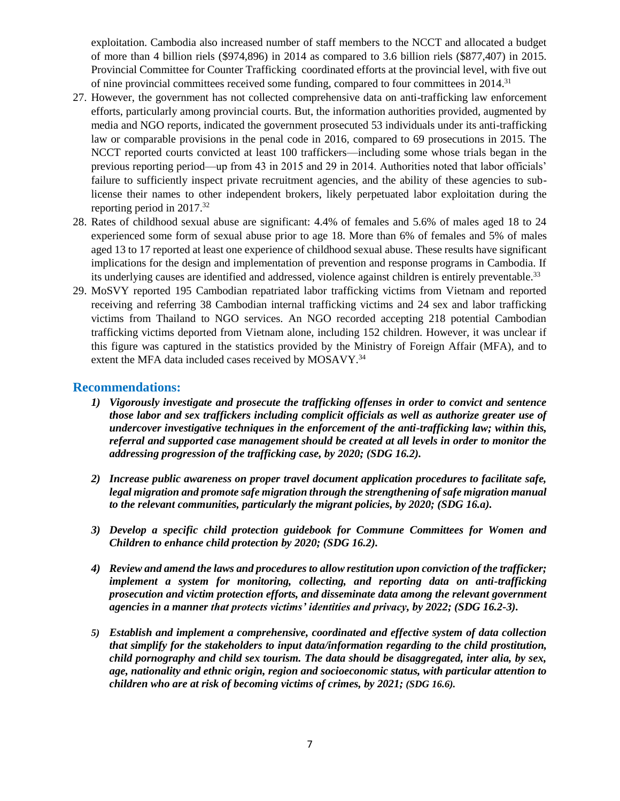exploitation. Cambodia also increased number of staff members to the NCCT and allocated a budget of more than 4 billion riels (\$974,896) in 2014 as compared to 3.6 billion riels (\$877,407) in 2015. Provincial Committee for Counter Trafficking coordinated efforts at the provincial level, with five out of nine provincial committees received some funding, compared to four committees in 2014.<sup>31</sup>

- 27. However, the government has not collected comprehensive data on anti-trafficking law enforcement efforts, particularly among provincial courts. But, the information authorities provided, augmented by media and NGO reports, indicated the government prosecuted 53 individuals under its anti-trafficking law or comparable provisions in the penal code in 2016, compared to 69 prosecutions in 2015. The NCCT reported courts convicted at least 100 traffickers—including some whose trials began in the previous reporting period—up from 43 in 2015 and 29 in 2014. Authorities noted that labor officials' failure to sufficiently inspect private recruitment agencies, and the ability of these agencies to sublicense their names to other independent brokers, likely perpetuated labor exploitation during the reporting period in 2017.<sup>32</sup>
- 28. Rates of childhood sexual abuse are significant: 4.4% of females and 5.6% of males aged 18 to 24 experienced some form of sexual abuse prior to age 18. More than 6% of females and 5% of males aged 13 to 17 reported at least one experience of childhood sexual abuse. These results have significant implications for the design and implementation of prevention and response programs in Cambodia. If its underlying causes are identified and addressed, violence against children is entirely preventable.<sup>33</sup>
- 29. MoSVY reported 195 Cambodian repatriated labor trafficking victims from Vietnam and reported receiving and referring 38 Cambodian internal trafficking victims and 24 sex and labor trafficking victims from Thailand to NGO services. An NGO recorded accepting 218 potential Cambodian trafficking victims deported from Vietnam alone, including 152 children. However, it was unclear if this figure was captured in the statistics provided by the Ministry of Foreign Affair (MFA), and to extent the MFA data included cases received by MOSAVY.<sup>34</sup>

#### **Recommendations:**

- *1) Vigorously investigate and prosecute the trafficking offenses in order to convict and sentence those labor and sex traffickers including complicit officials as well as authorize greater use of undercover investigative techniques in the enforcement of the anti-trafficking law; within this, referral and supported case management should be created at all levels in order to monitor the addressing progression of the trafficking case, by 2020; (SDG 16.2).*
- *2) Increase public awareness on proper travel document application procedures to facilitate safe, legal migration and promote safe migration through the strengthening of safe migration manual to the relevant communities, particularly the migrant policies, by 2020; (SDG 16.a).*
- *3) Develop a specific child protection guidebook for Commune Committees for Women and Children to enhance child protection by 2020; (SDG 16.2).*
- *4) Review and amend the laws and procedures to allow restitution upon conviction of the trafficker; implement a system for monitoring, collecting, and reporting data on anti-trafficking prosecution and victim protection efforts, and disseminate data among the relevant government agencies in a manner that protects victims' identities and privacy, by 2022; (SDG 16.2-3).*
- *5) Establish and implement a comprehensive, coordinated and effective system of data collection that simplify for the stakeholders to input data/information regarding to the child prostitution, child pornography and child sex tourism. The data should be disaggregated, inter alia, by sex, age, nationality and ethnic origin, region and socioeconomic status, with particular attention to children who are at risk of becoming victims of crimes, by 2021; (SDG 16.6).*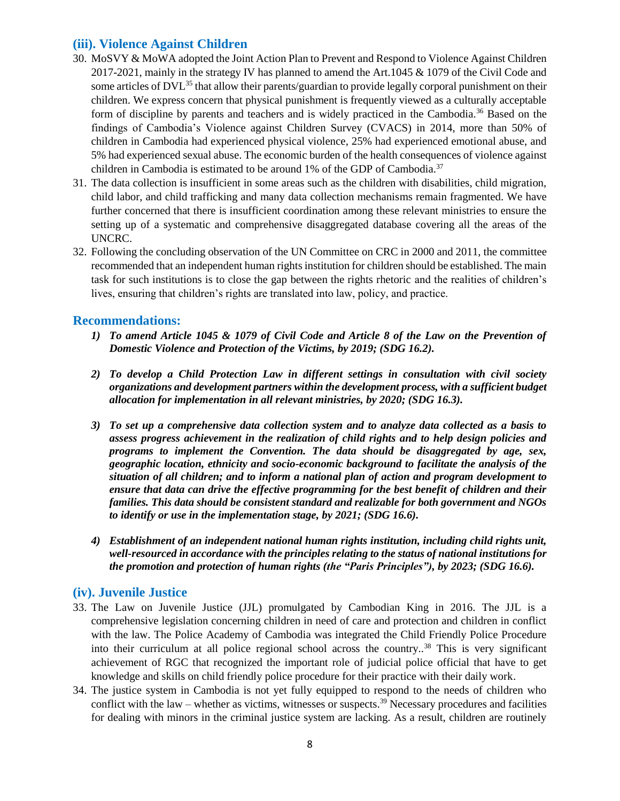## **(iii). Violence Against Children**

- 30. MoSVY & MoWA adopted the Joint Action Plan to Prevent and Respond to Violence Against Children 2017-2021, mainly in the strategy IV has planned to amend the Art.1045 & 1079 of the Civil Code and some articles of DVL<sup>35</sup> that allow their parents/guardian to provide legally corporal punishment on their children. We express concern that physical punishment is frequently viewed as a culturally acceptable form of discipline by parents and teachers and is widely practiced in the Cambodia.<sup>36</sup> Based on the findings of Cambodia's Violence against Children Survey (CVACS) in 2014, more than 50% of children in Cambodia had experienced physical violence, 25% had experienced emotional abuse, and 5% had experienced sexual abuse. The economic burden of the health consequences of violence against children in Cambodia is estimated to be around  $1\%$  of the GDP of Cambodia.<sup>37</sup>
- 31. The data collection is insufficient in some areas such as the children with disabilities, child migration, child labor, and child trafficking and many data collection mechanisms remain fragmented. We have further concerned that there is insufficient coordination among these relevant ministries to ensure the setting up of a systematic and comprehensive disaggregated database covering all the areas of the UNCRC.
- 32. Following the concluding observation of the UN Committee on CRC in 2000 and 2011, the committee recommended that an independent human rights institution for children should be established. The main task for such institutions is to close the gap between the rights rhetoric and the realities of children's lives, ensuring that children's rights are translated into law, policy, and practice.

#### **Recommendations:**

- *1) To amend Article 1045 & 1079 of Civil Code and Article 8 of the Law on the Prevention of Domestic Violence and Protection of the Victims, by 2019; (SDG 16.2).*
- *2) To develop a Child Protection Law in different settings in consultation with civil society organizations and development partners within the development process, with a sufficient budget allocation for implementation in all relevant ministries, by 2020; (SDG 16.3).*
- *3) To set up a comprehensive data collection system and to analyze data collected as a basis to assess progress achievement in the realization of child rights and to help design policies and programs to implement the Convention. The data should be disaggregated by age, sex, geographic location, ethnicity and socio-economic background to facilitate the analysis of the situation of all children; and to inform a national plan of action and program development to ensure that data can drive the effective programming for the best benefit of children and their families. This data should be consistent standard and realizable for both government and NGOs to identify or use in the implementation stage, by 2021; (SDG 16.6).*
- *4) Establishment of an independent national human rights institution, including child rights unit, well-resourced in accordance with the principles relating to the status of national institutions for the promotion and protection of human rights (the "Paris Principles"), by 2023; (SDG 16.6).*

## **(iv). Juvenile Justice**

- 33. The Law on Juvenile Justice (JJL) promulgated by Cambodian King in 2016. The JJL is a comprehensive legislation concerning children in need of care and protection and children in conflict with the law. The Police Academy of Cambodia was integrated the Child Friendly Police Procedure into their curriculum at all police regional school across the country..<sup>38</sup> This is very significant achievement of RGC that recognized the important role of judicial police official that have to get knowledge and skills on child friendly police procedure for their practice with their daily work.
- 34. The justice system in Cambodia is not yet fully equipped to respond to the needs of children who conflict with the law – whether as victims, witnesses or suspects.<sup>39</sup> Necessary procedures and facilities for dealing with minors in the criminal justice system are lacking. As a result, children are routinely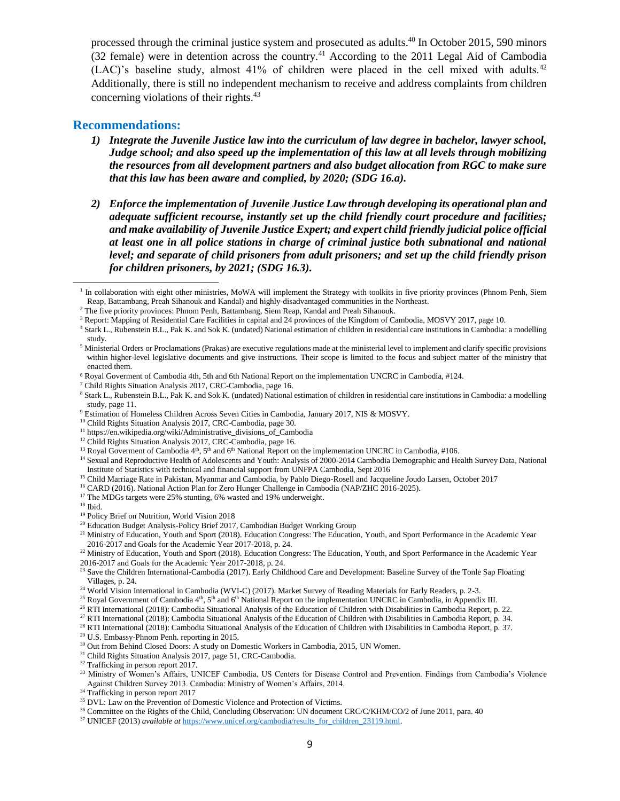processed through the criminal justice system and prosecuted as adults.<sup>40</sup> In October 2015, 590 minors (32 female) were in detention across the country.<sup>41</sup> According to the 2011 Legal Aid of Cambodia (LAC)'s baseline study, almost 41% of children were placed in the cell mixed with adults.<sup>42</sup> Additionally, there is still no independent mechanism to receive and address complaints from children concerning violations of their rights.<sup>43</sup>

#### **Recommendations:**

- *1) Integrate the Juvenile Justice law into the curriculum of law degree in bachelor, lawyer school, Judge school; and also speed up the implementation of this law at all levels through mobilizing the resources from all development partners and also budget allocation from RGC to make sure that this law has been aware and complied, by 2020; (SDG 16.a).*
- *2) Enforce the implementation of Juvenile Justice Law through developing its operational plan and adequate sufficient recourse, instantly set up the child friendly court procedure and facilities; and make availability of Juvenile Justice Expert; and expert child friendly judicial police official at least one in all police stations in charge of criminal justice both subnational and national level; and separate of child prisoners from adult prisoners; and set up the child friendly prison for children prisoners, by 2021; (SDG 16.3).*

- <sup>9</sup> Estimation of Homeless Children Across Seven Cities in Cambodia, January 2017, NIS & MOSVY.
- <sup>10</sup> Child Rights Situation Analysis 2017, CRC-Cambodia, page 30.

- <sup>12</sup> Child Rights Situation Analysis 2017, CRC-Cambodia, page 16.
- <sup>13</sup> Royal Goverment of Cambodia  $4<sup>th</sup>$ ,  $5<sup>th</sup>$  and  $6<sup>th</sup>$  National Report on the implementation UNCRC in Cambodia, #106.
- <sup>14</sup> Sexual and Reproductive Health of Adolescents and Youth: Analysis of 2000-2014 Cambodia Demographic and Health Survey Data, National Institute of Statistics with technical and financial support from UNFPA Cambodia, Sept 2016
- <sup>15</sup> Child Marriage Rate in Pakistan, Myanmar and Cambodia, by Pablo Diego-Rosell and Jacqueline Joudo Larsen, October 2017
- <sup>16</sup> CARD (2016). National Action Plan for Zero Hunger Challenge in Cambodia (NAP/ZHC 2016-2025).
- <sup>17</sup> The MDGs targets were 25% stunting, 6% wasted and 19% underweight.

 $^{\rm 18}$  Ibid.

 $\overline{\phantom{a}}$ 

- <sup>19</sup> Policy Brief on Nutrition, World Vision 2018
- <sup>20</sup> Education Budget Analysis-Policy Brief 2017, Cambodian Budget Working Group
- <sup>21</sup> Ministry of Education, Youth and Sport (2018). Education Congress: The Education, Youth, and Sport Performance in the Academic Year 2016-2017 and Goals for the Academic Year 2017-2018, p. 24.

<sup>22</sup> Ministry of Education, Youth and Sport (2018). Education Congress: The Education, Youth, and Sport Performance in the Academic Year 2016-2017 and Goals for the Academic Year 2017-2018, p. 24.

- <sup>27</sup> RTI International (2018): Cambodia Situational Analysis of the Education of Children with Disabilities in Cambodia Report, p. 34.
- <sup>28</sup> RTI International (2018): Cambodia Situational Analysis of the Education of Children with Disabilities in Cambodia Report, p. 37.
- <sup>29</sup> U.S. Embassy-Phnom Penh. reporting in 2015.
- <sup>30</sup> Out from Behind Closed Doors: A study on Domestic Workers in Cambodia, 2015, UN Women.
- <sup>31</sup> Child Rights Situation Analysis 2017, page 51, CRC-Cambodia.
- <sup>32</sup> Trafficking in person report 2017.
- <sup>33</sup> Ministry of Women's Affairs, UNICEF Cambodia, US Centers for Disease Control and Prevention. Findings from Cambodia's Violence Against Children Survey 2013. Cambodia: Ministry of Women's Affairs, 2014.
- <sup>34</sup> Trafficking in person report 2017
- <sup>35</sup> DVL: Law on the Prevention of Domestic Violence and Protection of Victims.
- <sup>36</sup> Committee on the Rights of the Child, Concluding Observation: UN document CRC/C/KHM/CO/2 of June 2011, para. 40
- <sup>37</sup> UNICEF (2013) *available at* [https://www.unicef.org/cambodia/results\\_for\\_children\\_23119.html.](https://www.unicef.org/cambodia/results_for_children_23119.html)

<sup>1</sup> In collaboration with eight other ministries, MoWA will implement the Strategy with toolkits in five priority provinces (Phnom Penh, Siem Reap, Battambang, Preah Sihanouk and Kandal) and highly-disadvantaged communities in the Northeast.

 $2$  The five priority provinces: Phnom Penh, Battambang, Siem Reap, Kandal and Preah Sihanouk.

<sup>&</sup>lt;sup>3</sup> Report: Mapping of Residential Care Facilities in capital and 24 provinces of the Kingdom of Cambodia, MOSVY 2017, page 10.

<sup>4</sup> Stark L., Rubenstein B.L., Pak K. and Sok K. (undated) National estimation of children in residential care institutions in Cambodia: a modelling study.

<sup>&</sup>lt;sup>5</sup> Ministerial Orders or Proclamations (Prakas) are executive regulations made at the ministerial level to implement and clarify specific provisions within higher-level legislative documents and give instructions. Their scope is limited to the focus and subject matter of the ministry that enacted them.

<sup>6</sup> Royal Goverment of Cambodia 4th, 5th and 6th National Report on the implementation UNCRC in Cambodia, #124.

<sup>7</sup> Child Rights Situation Analysis 2017, CRC-Cambodia, page 16.

<sup>8</sup> Stark L., Rubenstein B.L., Pak K. and Sok K. (undated) National estimation of children in residential care institutions in Cambodia: a modelling study, page 11.

<sup>&</sup>lt;sup>11</sup> https://en.wikipedia.org/wiki/Administrative\_divisions\_of\_Cambodia

Save the Children International-Cambodia (2017). Early Childhood Care and Development: Baseline Survey of the Tonle Sap Floating Villages, p. 24.

<sup>&</sup>lt;sup>24</sup> World Vision International in Cambodia (WVI-C) (2017). Market Survey of Reading Materials for Early Readers, p. 2-3.

<sup>&</sup>lt;sup>25</sup> Royal Government of Cambodia  $4<sup>th</sup>$ , 5<sup>th</sup> and 6<sup>th</sup> National Report on the implementation UNCRC in Cambodia, in Appendix III.

<sup>&</sup>lt;sup>26</sup> RTI International (2018): Cambodia Situational Analysis of the Education of Children with Disabilities in Cambodia Report, p. 22.